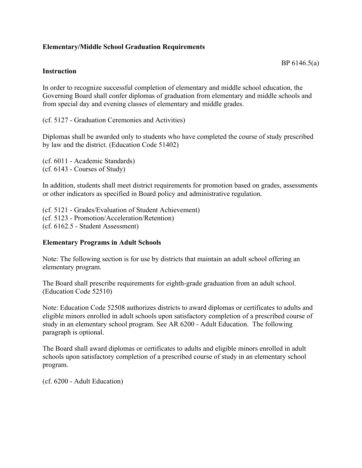## **Elementary/Middle School Graduation Requirements**

## BP 6146.5(a)

## **Instruction**

In order to recognize successful completion of elementary and middle school education, the Governing Board shall confer diplomas of graduation from elementary and middle schools and from special day and evening classes of elementary and middle grades.

(cf. 5127 - Graduation Ceremonies and Activities)

Diplomas shall be awarded only to students who have completed the course of study prescribed by law and the district. (Education Code 51402)

(cf. 6011 - Academic Standards) (cf. 6143 - Courses of Study)

In addition, students shall meet district requirements for promotion based on grades, assessments or other indicators as specified in Board policy and administrative regulation.

(cf. 5121 - Grades/Evaluation of Student Achievement) (cf. 5123 - Promotion/Acceleration/Retention) (cf. 6162.5 - Student Assessment)

## **Elementary Programs in Adult Schools**

Note: The following section is for use by districts that maintain an adult school offering an elementary program.

The Board shall prescribe requirements for eighth-grade graduation from an adult school. (Education Code 52510)

Note: Education Code 52508 authorizes districts to award diplomas or certificates to adults and eligible minors enrolled in adult schools upon satisfactory completion of a prescribed course of study in an elementary school program. See AR 6200 - Adult Education. The following paragraph is optional.

The Board shall award diplomas or certificates to adults and eligible minors enrolled in adult schools upon satisfactory completion of a prescribed course of study in an elementary school program.

(cf. 6200 - Adult Education)